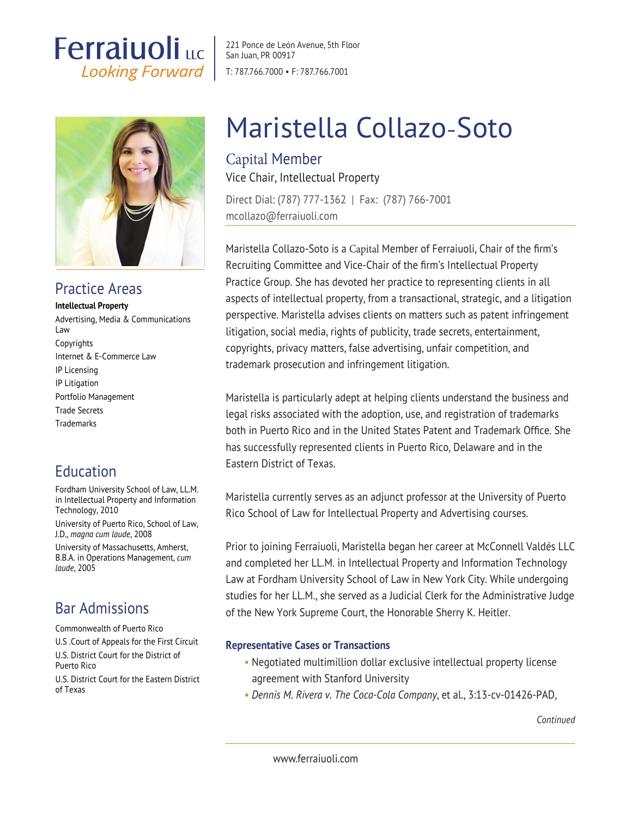## **Ferraiuoli** LLC **Looking Forward**



## Practice Areas

#### **Intellectual Property**

Advertising, Media & Communications Law Copyrights Internet & E-Commerce Law IP Licensing IP Litigation Portfolio Management Trade Secrets **Trademarks** 

## Education

Fordham University School of Law, LL.M. in Intellectual Property and Information Technology, 2010

University of Puerto Rico, School of Law, J.D., *magna cum laude*, 2008 University of Massachusetts, Amherst,

B.B.A. in Operations Management, *cum laude*, 2005

## Bar Admissions

Commonwealth of Puerto Rico

U.S .Court of Appeals for the First Circuit U.S. District Court for the District of Puerto Rico

U.S. District Court for the Eastern District of Texas

221 Ponce de León Avenue, 5th Floor San Juan, PR 00917 T: 787.766.7000 • F: 787.766.7001

# Maristella Collazo-Soto

### Capital Member Vice Chair, Intellectual Property

Direct Dial: (787) 777-1362 | Fax: (787) 766-7001 mcollazo@ferraiuoli.com

Maristella Collazo-Soto is a Capital Member of Ferraiuoli, Chair of the firm's Recruiting Committee and Vice-Chair of the firm's Intellectual Property Practice Group. She has devoted her practice to representing clients in all aspects of intellectual property, from a transactional, strategic, and a litigation perspective. Maristella advises clients on matters such as patent infringement litigation, social media, rights of publicity, trade secrets, entertainment, copyrights, privacy matters, false advertising, unfair competition, and trademark prosecution and infringement litigation.

Maristella is particularly adept at helping clients understand the business and legal risks associated with the adoption, use, and registration of trademarks both in Puerto Rico and in the United States Patent and Trademark Office. She has successfully represented clients in Puerto Rico, Delaware and in the Eastern District of Texas.

Maristella currently serves as an adjunct professor at the University of Puerto Rico School of Law for Intellectual Property and Advertising courses.

Prior to joining Ferraiuoli, Maristella began her career at McConnell Valdés LLC and completed her LL.M. in Intellectual Property and Information Technology Law at Fordham University School of Law in New York City. While undergoing studies for her LL.M., she served as a Judicial Clerk for the Administrative Judge of the New York Supreme Court, the Honorable Sherry K. Heitler.

#### **Representative Cases or Transactions**

- Negotiated multimillion dollar exclusive intellectual property license agreement with Stanford University
- *Dennis M. Rivera v. The Coca-Cola Company*, et al., 3:13-cv-01426-PAD,

*Continued*